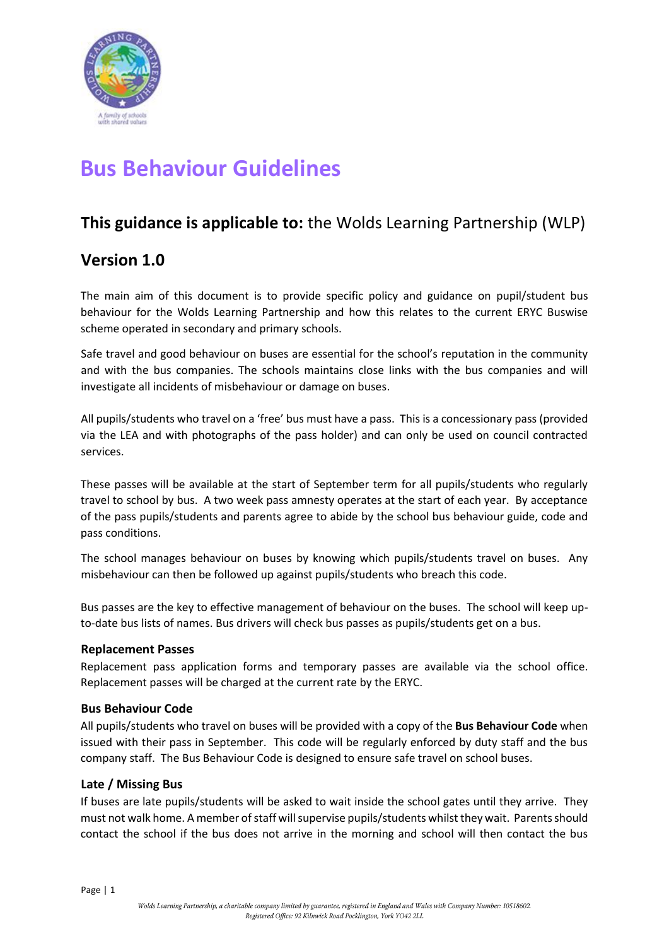

# **Bus Behaviour Guidelines**

# **This guidance is applicable to:** the Wolds Learning Partnership (WLP)

# **Version 1.0**

The main aim of this document is to provide specific policy and guidance on pupil/student bus behaviour for the Wolds Learning Partnership and how this relates to the current ERYC Buswise scheme operated in secondary and primary schools.

Safe travel and good behaviour on buses are essential for the school's reputation in the community and with the bus companies. The schools maintains close links with the bus companies and will investigate all incidents of misbehaviour or damage on buses.

All pupils/students who travel on a 'free' bus must have a pass. This is a concessionary pass (provided via the LEA and with photographs of the pass holder) and can only be used on council contracted services.

These passes will be available at the start of September term for all pupils/students who regularly travel to school by bus. A two week pass amnesty operates at the start of each year. By acceptance of the pass pupils/students and parents agree to abide by the school bus behaviour guide, code and pass conditions.

The school manages behaviour on buses by knowing which pupils/students travel on buses. Any misbehaviour can then be followed up against pupils/students who breach this code.

Bus passes are the key to effective management of behaviour on the buses. The school will keep upto-date bus lists of names. Bus drivers will check bus passes as pupils/students get on a bus.

### **Replacement Passes**

Replacement pass application forms and temporary passes are available via the school office. Replacement passes will be charged at the current rate by the ERYC.

### **Bus Behaviour Code**

All pupils/students who travel on buses will be provided with a copy of the **Bus Behaviour Code** when issued with their pass in September. This code will be regularly enforced by duty staff and the bus company staff. The Bus Behaviour Code is designed to ensure safe travel on school buses.

### **Late / Missing Bus**

If buses are late pupils/students will be asked to wait inside the school gates until they arrive. They must not walk home. A member of staff will supervise pupils/students whilst they wait. Parents should contact the school if the bus does not arrive in the morning and school will then contact the bus

Page | 1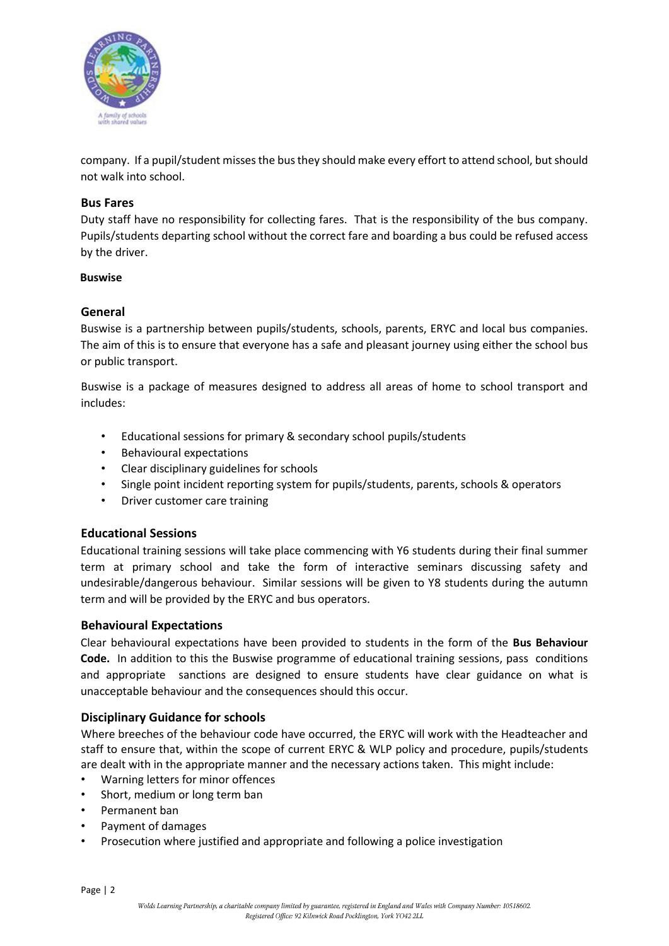

company. If a pupil/student misses the bus they should make every effort to attend school, but should not walk into school.

### **Bus Fares**

Duty staff have no responsibility for collecting fares. That is the responsibility of the bus company. Pupils/students departing school without the correct fare and boarding a bus could be refused access by the driver.

#### **Buswise**

### **General**

Buswise is a partnership between pupils/students, schools, parents, ERYC and local bus companies. The aim of this is to ensure that everyone has a safe and pleasant journey using either the school bus or public transport.

Buswise is a package of measures designed to address all areas of home to school transport and includes:

- Educational sessions for primary & secondary school pupils/students
- Behavioural expectations
- Clear disciplinary guidelines for schools
- Single point incident reporting system for pupils/students, parents, schools & operators
- Driver customer care training

#### **Educational Sessions**

Educational training sessions will take place commencing with Y6 students during their final summer term at primary school and take the form of interactive seminars discussing safety and undesirable/dangerous behaviour. Similar sessions will be given to Y8 students during the autumn term and will be provided by the ERYC and bus operators.

#### **Behavioural Expectations**

Clear behavioural expectations have been provided to students in the form of the **Bus Behaviour Code.** In addition to this the Buswise programme of educational training sessions, pass conditions and appropriate sanctions are designed to ensure students have clear guidance on what is unacceptable behaviour and the consequences should this occur.

### **Disciplinary Guidance for schools**

Where breeches of the behaviour code have occurred, the ERYC will work with the Headteacher and staff to ensure that, within the scope of current ERYC & WLP policy and procedure, pupils/students are dealt with in the appropriate manner and the necessary actions taken. This might include:

- Warning letters for minor offences
- Short, medium or long term ban
- Permanent ban
- Payment of damages
- Prosecution where justified and appropriate and following a police investigation

Page | 2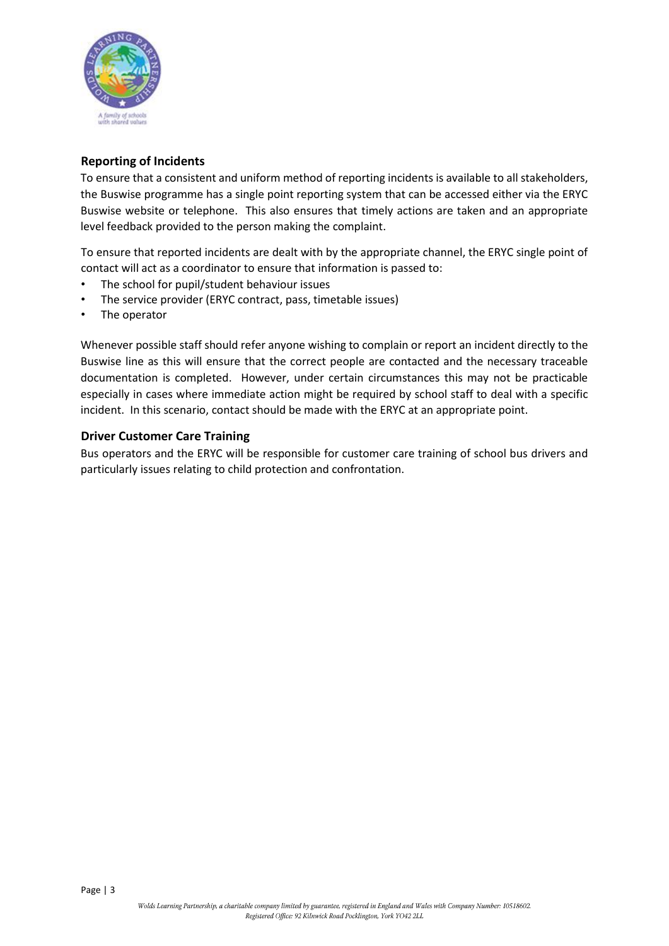

## **Reporting of Incidents**

To ensure that a consistent and uniform method of reporting incidents is available to all stakeholders, the Buswise programme has a single point reporting system that can be accessed either via the ERYC Buswise website or telephone. This also ensures that timely actions are taken and an appropriate level feedback provided to the person making the complaint.

To ensure that reported incidents are dealt with by the appropriate channel, the ERYC single point of contact will act as a coordinator to ensure that information is passed to:

- The school for pupil/student behaviour issues
- The service provider (ERYC contract, pass, timetable issues)
- The operator

Whenever possible staff should refer anyone wishing to complain or report an incident directly to the Buswise line as this will ensure that the correct people are contacted and the necessary traceable documentation is completed. However, under certain circumstances this may not be practicable especially in cases where immediate action might be required by school staff to deal with a specific incident. In this scenario, contact should be made with the ERYC at an appropriate point.

### **Driver Customer Care Training**

Bus operators and the ERYC will be responsible for customer care training of school bus drivers and particularly issues relating to child protection and confrontation.